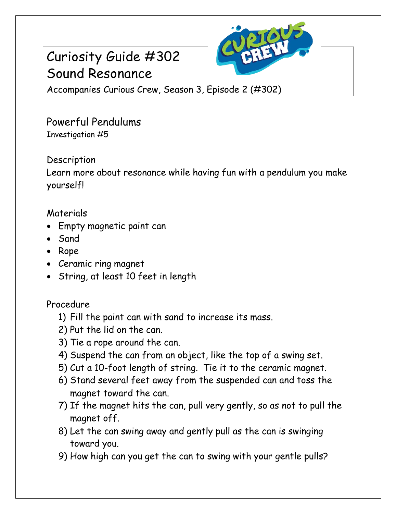# Curiosity Guide #302 Sound Resonance



Accompanies Curious Crew, Season 3, Episode 2 (#302)

### Powerful Pendulums Investigation #5

### **Description**

Learn more about resonance while having fun with a pendulum you make yourself!

### Materials

- Empty magnetic paint can
- Sand
- Rope
- Ceramic ring magnet
- String, at least 10 feet in length

### Procedure

- 1) Fill the paint can with sand to increase its mass.
- 2) Put the lid on the can.
- 3) Tie a rope around the can.
- 4) Suspend the can from an object, like the top of a swing set.
- 5) Cut a 10-foot length of string. Tie it to the ceramic magnet.
- 6) Stand several feet away from the suspended can and toss the magnet toward the can.
- 7) If the magnet hits the can, pull very gently, so as not to pull the magnet off.
- 8) Let the can swing away and gently pull as the can is swinging toward you.
- 9) How high can you get the can to swing with your gentle pulls?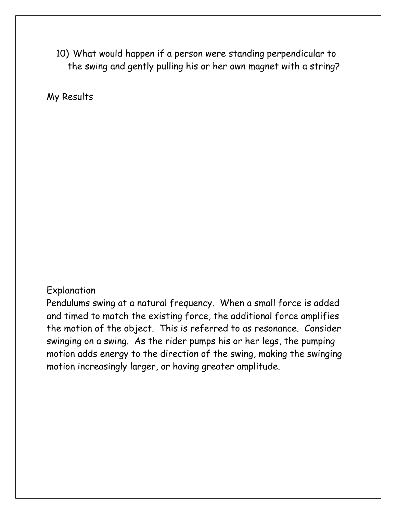10) What would happen if a person were standing perpendicular to the swing and gently pulling his or her own magnet with a string?

My Results

#### Explanation

Pendulums swing at a natural frequency. When a small force is added and timed to match the existing force, the additional force amplifies the motion of the object. This is referred to as resonance. Consider swinging on a swing. As the rider pumps his or her legs, the pumping motion adds energy to the direction of the swing, making the swinging motion increasingly larger, or having greater amplitude.